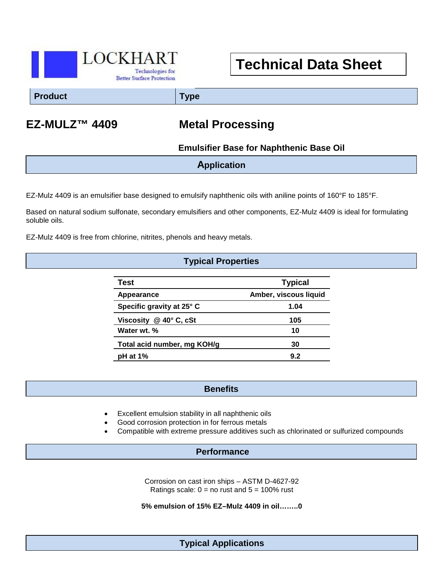

# **Technical Data Sheet**

**Product Type**

## **EZ-MULZ™ 4409 Metal Processing**

 **Emulsifier Base for Naphthenic Base Oil**

**Application**

EZ-Mulz 4409 is an emulsifier base designed to emulsify naphthenic oils with aniline points of 160°F to 185°F.

Based on natural sodium sulfonate, secondary emulsifiers and other components, EZ-Mulz 4409 is ideal for formulating soluble oils.

EZ-Mulz 4409 is free from chlorine, nitrites, phenols and heavy metals.

#### **Typical Properties**

| <b>Test</b>                        | <b>Typical</b>        |
|------------------------------------|-----------------------|
| Appearance                         | Amber, viscous liquid |
| Specific gravity at 25° C          | 1.04                  |
| Viscosity $@$ 40 $^{\circ}$ C, cSt | 105                   |
| Water wt. %                        | 10                    |
| Total acid number, mg KOH/g        | 30                    |
| $pH$ at 1%                         | 9.2                   |

#### **Benefits**

- Excellent emulsion stability in all naphthenic oils
- Good corrosion protection in for ferrous metals
- Compatible with extreme pressure additives such as chlorinated or sulfurized compounds

#### **Performance**

Corrosion on cast iron ships – ASTM D-4627-92 Ratings scale:  $0 =$  no rust and  $5 = 100\%$  rust

**5% emulsion of 15% EZ–Mulz 4409 in oil……..0**

**Typical Applications**